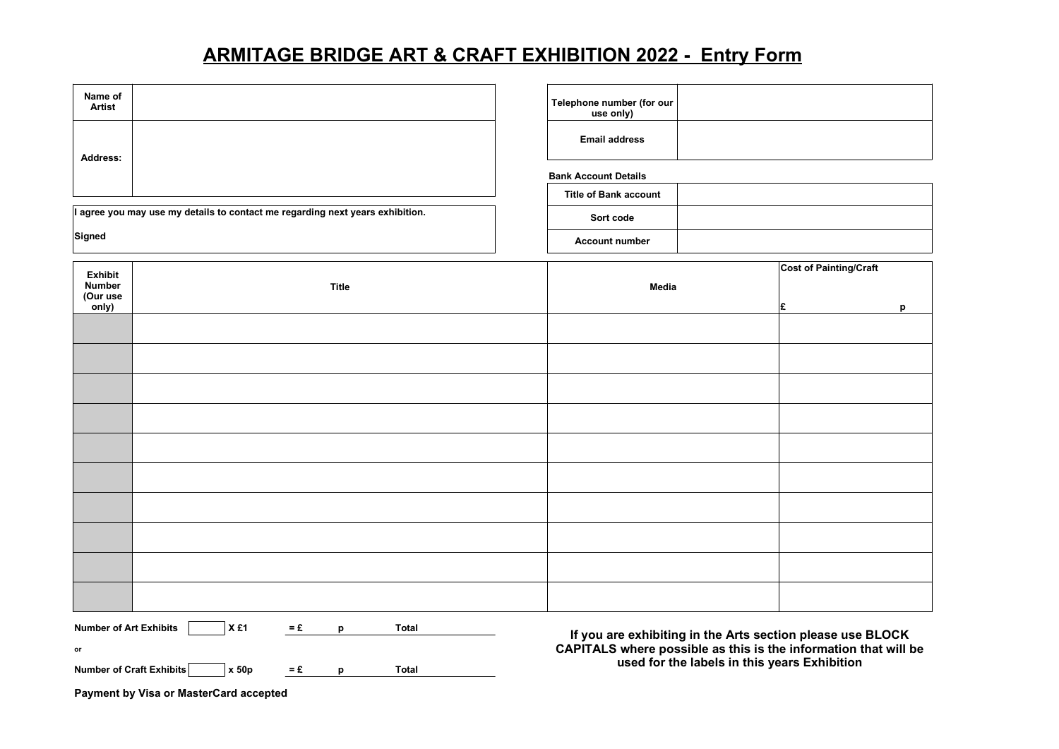# ARMITAGE BRIDGE ART & CRAFT EXHIBITION 2022 - Entry Form

| Name of<br><b>Artist</b>                                                      |                                                                 | Telephone number (for our<br>use only) |                                                                                                                                                                               |  |
|-------------------------------------------------------------------------------|-----------------------------------------------------------------|----------------------------------------|-------------------------------------------------------------------------------------------------------------------------------------------------------------------------------|--|
| Address:                                                                      |                                                                 | <b>Email address</b>                   |                                                                                                                                                                               |  |
|                                                                               |                                                                 | <b>Bank Account Details</b>            |                                                                                                                                                                               |  |
|                                                                               |                                                                 | <b>Title of Bank account</b>           |                                                                                                                                                                               |  |
| I agree you may use my details to contact me regarding next years exhibition. |                                                                 | Sort code                              |                                                                                                                                                                               |  |
| Signed                                                                        |                                                                 | <b>Account number</b>                  |                                                                                                                                                                               |  |
| <b>Exhibit</b>                                                                |                                                                 |                                        | <b>Cost of Painting/Craft</b>                                                                                                                                                 |  |
| <b>Number</b><br>(Our use                                                     | <b>Title</b>                                                    | Media                                  |                                                                                                                                                                               |  |
| only)                                                                         |                                                                 |                                        | £<br>p                                                                                                                                                                        |  |
|                                                                               |                                                                 |                                        |                                                                                                                                                                               |  |
|                                                                               |                                                                 |                                        |                                                                                                                                                                               |  |
|                                                                               |                                                                 |                                        |                                                                                                                                                                               |  |
|                                                                               |                                                                 |                                        |                                                                                                                                                                               |  |
|                                                                               |                                                                 |                                        |                                                                                                                                                                               |  |
|                                                                               |                                                                 |                                        |                                                                                                                                                                               |  |
|                                                                               |                                                                 |                                        |                                                                                                                                                                               |  |
|                                                                               |                                                                 |                                        |                                                                                                                                                                               |  |
|                                                                               |                                                                 |                                        |                                                                                                                                                                               |  |
|                                                                               |                                                                 |                                        |                                                                                                                                                                               |  |
| X£1<br><b>Number of Art Exhibits</b><br>$=$ £<br><b>Total</b><br>p            |                                                                 |                                        |                                                                                                                                                                               |  |
| or                                                                            |                                                                 |                                        | If you are exhibiting in the Arts section please use BLOCK<br>CAPITALS where possible as this is the information that will be<br>used for the labels in this years Exhibition |  |
|                                                                               | Number of Craft Exhibits<br>x 50p<br>$=$ £<br><b>Total</b><br>p |                                        |                                                                                                                                                                               |  |

Payment by Visa or MasterCard accepted